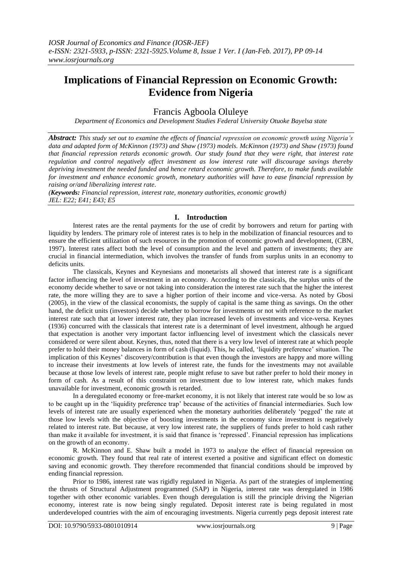# **Implications of Financial Repression on Economic Growth: Evidence from Nigeria**

Francis Agboola Oluleye

*Department of Economics and Development Studies Federal University Otuoke Bayelsa state*

*Abstract: This study set out to examine the effects of financial repression on economic growth using Nigeria's data and adapted form of McKinnon (1973) and Shaw (1973) models. McKinnon (1973) and Shaw (1973) found that financial repression retards economic growth. Our study found that they were right, that interest rate regulation and control negatively affect investment as low interest rate will discourage savings thereby depriving investment the needed funded and hence retard economic growth. Therefore, to make funds available for investment and enhance economic growth, monetary authorities will have to ease financial repression by raising or/and liberalizing interest rate.*

*(Keywords: Financial repression, interest rate, monetary authorities, economic growth) JEL: E22; E41; E43; E5*

# **I. Introduction**

Interest rates are the rental payments for the use of credit by borrowers and return for parting with liquidity by lenders. The primary role of interest rates is to help in the mobilization of financial resources and to ensure the efficient utilization of such resources in the promotion of economic growth and development, (CBN, 1997). Interest rates affect both the level of consumption and the level and pattern of investments; they are crucial in financial intermediation, which involves the transfer of funds from surplus units in an economy to deficits units.

The classicals, Keynes and Keynesians and monetarists all showed that interest rate is a significant factor influencing the level of investment in an economy. According to the classicals, the surplus units of the economy decide whether to save or not taking into consideration the interest rate such that the higher the interest rate, the more willing they are to save a higher portion of their income and vice-versa. As noted by Gbosi (2005), in the view of the classical economists, the supply of capital is the same thing as savings. On the other hand, the deficit units (investors) decide whether to borrow for investments or not with reference to the market interest rate such that at lower interest rate, they plan increased levels of investments and vice-versa. Keynes (1936) concurred with the classicals that interest rate is a determinant of level investment, although he argued that expectation is another very important factor influencing level of investment which the classicals never considered or were silent about. Keynes, thus, noted that there is a very low level of interest rate at which people prefer to hold their money balances in form of cash (liquid). This, he called, 'liquidity preference' situation. The implication of this Keynes' discovery/contribution is that even though the investors are happy and more willing to increase their investments at low levels of interest rate, the funds for the investments may not available because at those low levels of interest rate, people might refuse to save but rather prefer to hold their money in form of cash. As a result of this constraint on investment due to low interest rate, which makes funds unavailable for investment, economic growth is retarded.

In a deregulated economy or free-market economy, it is not likely that interest rate would be so low as to be caught up in the 'liquidity preference trap' because of the activities of financial intermediaries. Such low levels of interest rate are usually experienced when the monetary authorities deliberately 'pegged' the rate at those low levels with the objective of boosting investments in the economy since investment is negatively related to interest rate. But because, at very low interest rate, the suppliers of funds prefer to hold cash rather than make it available for investment, it is said that finance is 'repressed'. Financial repression has implications on the growth of an economy.

R. McKinnon and E. Shaw built a model in 1973 to analyze the effect of financial repression on economic growth. They found that real rate of interest exerted a positive and significant effect on domestic saving and economic growth. They therefore recommended that financial conditions should be improved by ending financial repression.

Prior to 1986, interest rate was rigidly regulated in Nigeria. As part of the strategies of implementing the thrusts of Structural Adjustment programmed (SAP) in Nigeria, interest rate was deregulated in 1986 together with other economic variables. Even though deregulation is still the principle driving the Nigerian economy, interest rate is now being singly regulated. Deposit interest rate is being regulated in most underdeveloped countries with the aim of encouraging investments. Nigeria currently pegs deposit interest rate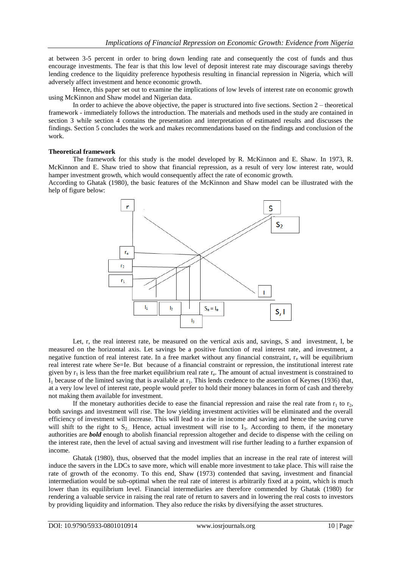at between 3-5 percent in order to bring down lending rate and consequently the cost of funds and thus encourage investments. The fear is that this low level of deposit interest rate may discourage savings thereby lending credence to the liquidity preference hypothesis resulting in financial repression in Nigeria, which will adversely affect investment and hence economic growth.

Hence, this paper set out to examine the implications of low levels of interest rate on economic growth using McKinnon and Shaw model and Nigerian data.

In order to achieve the above objective, the paper is structured into five sections. Section 2 – theoretical framework - immediately follows the introduction. The materials and methods used in the study are contained in section 3 while section 4 contains the presentation and interpretation of estimated results and discusses the findings. Section 5 concludes the work and makes recommendations based on the findings and conclusion of the work.

#### **Theoretical framework**

The framework for this study is the model developed by R. McKinnon and E. Shaw. In 1973, R. McKinnon and E. Shaw tried to show that financial repression, as a result of very low interest rate, would hamper investment growth, which would consequently affect the rate of economic growth.

According to Ghatak (1980), the basic features of the McKinnon and Shaw model can be illustrated with the help of figure below:



Let, r, the real interest rate, be measured on the vertical axis and, savings, S and investment, I, be measured on the horizontal axis. Let savings be a positive function of real interest rate, and investment, a negative function of real interest rate. In a free market without any financial constraint,  $r_e$  will be equilibrium real interest rate where Se=Ie. But because of a financial constraint or repression, the institutional interest rate given by  $r_1$  is less than the free market equilibrium real rate  $r_e$ . The amount of actual investment is constrained to  $I_1$  because of the limited saving that is available at  $r_1$ . This lends credence to the assertion of Keynes (1936) that, at a very low level of interest rate, people would prefer to hold their money balances in form of cash and thereby not making them available for investment.

If the monetary authorities decide to ease the financial repression and raise the real rate from  $r_1$  to  $r_2$ , both savings and investment will rise. The low yielding investment activities will be eliminated and the overall efficiency of investment will increase. This will lead to a rise in income and saving and hence the saving curve will shift to the right to  $S_{2}$ . Hence, actual investment will rise to  $I_3$ . According to them, if the monetary authorities are *bold* enough to abolish financial repression altogether and decide to dispense with the ceiling on the interest rate, then the level of actual saving and investment will rise further leading to a further expansion of income.

Ghatak (1980), thus, observed that the model implies that an increase in the real rate of interest will induce the savers in the LDCs to save more, which will enable more investment to take place. This will raise the rate of growth of the economy. To this end, Shaw (1973) contended that saving, investment and financial intermediation would be sub-optimal when the real rate of interest is arbitrarily fixed at a point, which is much lower than its equilibrium level. Financial intermediaries are therefore commended by Ghatak (1980) for rendering a valuable service in raising the real rate of return to savers and in lowering the real costs to investors by providing liquidity and information. They also reduce the risks by diversifying the asset structures.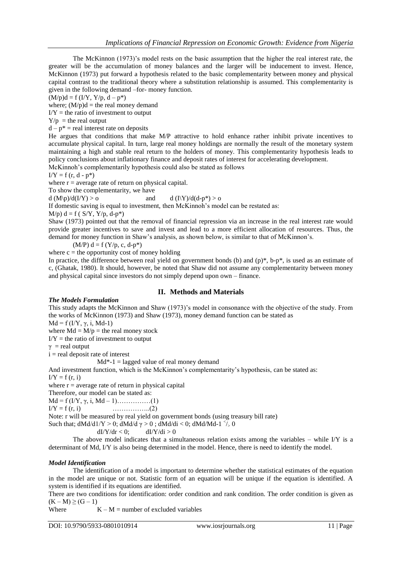The McKinnon (1973)'s model rests on the basic assumption that the higher the real interest rate, the greater will be the accumulation of money balances and the larger will be inducement to invest. Hence, McKinnon (1973) put forward a hypothesis related to the basic complementarity between money and physical capital contrast to the traditional theory where a substitution relationship is assumed. This complementarity is given in the following demand –for- money function.

 $(M/p)d = f (I/Y, Y/p, d - p^*)$ 

where;  $(M/p)d =$  the real money demand

 $I/Y$  = the ratio of investment to output

 $Y/p =$  the real output

 $d - p^* =$  real interest rate on deposits

He argues that conditions that make M/P attractive to hold enhance rather inhibit private incentives to accumulate physical capital. In turn, large real money holdings are normally the result of the monetary system maintaining a high and stable real return to the holders of money. This complementarity hypothesis leads to policy conclusions about inflationary finance and deposit rates of interest for accelerating development.

McKinnoh's complementarily hypothesis could also be stated as follows

$$
I/Y = f(r, d - p^*)
$$

where  $r =$  average rate of return on physical capital.

To show the complementarity, we have

d  $(M\backslash p)/d(I/Y) > 0$  and d  $(I\backslash Y)/d(d-p^*) > 0$ 

If domestic saving is equal to investment, then McKinnoh's model can be restated as:

 $M/p$ ) d = f ( S/Y, Y/p, d-p<sup>\*</sup>)

Shaw (1973) pointed out that the removal of financial repression via an increase in the real interest rate would provide greater incentives to save and invest and lead to a more efficient allocation of resources. Thus, the demand for money function in Shaw's analysis, as shown below, is similar to that of McKinnon's.

$$
(M/P) d = f(Y/p, c, d-p^*)
$$

where  $c =$  the opportunity cost of money holding

In practice, the difference between real yield on government bonds (b) and  $(p)$ \*, b-p\*, is used as an estimate of c, (Ghatak, 1980). It should, however, be noted that Shaw did not assume any complementarity between money and physical capital since investors do not simply depend upon own – finance.

# **II. Methods and Materials**

## *The Models Formulation*

This study adapts the McKinnon and Shaw (1973)'s model in consonance with the objective of the study. From the works of McKinnon (1973) and Shaw (1973), money demand function can be stated as

 $Md = f (I/Y, \gamma, i, Md-1)$ 

where  $Md = M/p$  = the real money stock

 $I/Y$  = the ratio of investment to output

 $γ = real output$ 

 $i =$  real deposit rate of interest

 $Md*-1 = lagged value of real money demand$ 

And investment function, which is the McKinnon's complementarity's hypothesis, can be stated as:  $I/Y = f(r, i)$ 

where  $r =$  average rate of return in physical capital

Therefore, our model can be stated as:

Md = f (I/Y, γ, i, Md – 1)……………(1)

 $I/Y = f(r, i)$  ……………...(2)

Note: r will be measured by real yield on government bonds (using treasury bill rate)

Such that;  $dMd/d1/Y > 0$ ;  $dMd/d \gamma > 0$ ;  $dMd/di < 0$ ;  $dMd/Md-1$ <sup>{//-</sup>/<sub>2</sub>}

 $dI/Y/dr < 0$ ;  $dI/Y/di > 0$ 

The above model indicates that a simultaneous relation exists among the variables – while I/Y is a determinant of Md, I/Y is also being determined in the model. Hence, there is need to identify the model.

## *Model Identification*

The identification of a model is important to determine whether the statistical estimates of the equation in the model are unique or not. Statistic form of an equation will be unique if the equation is identified. A system is identified if its equations are identified.

There are two conditions for identification: order condition and rank condition. The order condition is given as  $(K - M) \ge (G - 1)$ 

Where  $K - M =$  number of excluded variables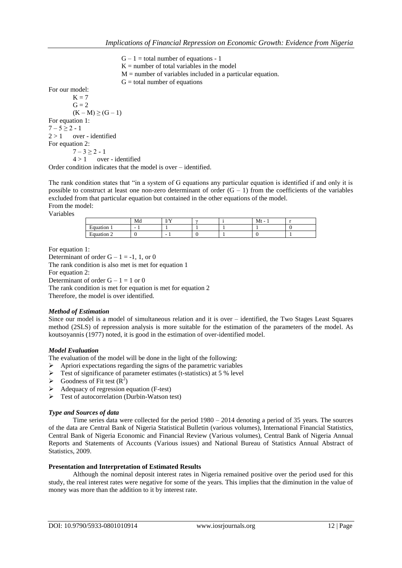$G - 1 =$  total number of equations - 1

 $K =$  number of total variables in the model

 $M =$  number of variables included in a particular equation.

 $G =$  total number of equations

For our model:

 $K = 7$  $G = 2$  $(K - M) \ge (G - 1)$ For equation 1:  $7 - 5 \ge 2 - 1$  $2 > 1$  over - identified For equation 2:  $7 - 3 \ge 2 - 1$  $4 > 1$  over - identified

Order condition indicates that the model is over – identified.

The rank condition states that "in a system of G equations any particular equation is identified if and only it is possible to construct at least one non-zero determinant of order  $(G - 1)$  from the coefficients of the variables excluded from that particular equation but contained in the other equations of the model. From the model:

Variables

|                                   | Md | T/V<br>$\mathbf{v}$      | $\sim$ | Mt |  |
|-----------------------------------|----|--------------------------|--------|----|--|
| T.<br>Equation<br>$\mathbf{r}$    |    |                          |        |    |  |
| T.<br>-<br><b>Equation</b><br>. . |    | $\overline{\phantom{a}}$ |        |    |  |

For equation 1:

Determinant of order  $G - 1 = -1$ , 1, or 0 The rank condition is also met is met for equation 1 For equation 2: Determinant of order  $G - 1 = 1$  or 0 The rank condition is met for equation is met for equation 2

Therefore, the model is over identified.

## *Method of Estimation*

Since our model is a model of simultaneous relation and it is over – identified, the Two Stages Least Squares method (2SLS) of repression analysis is more suitable for the estimation of the parameters of the model. As koutsoyannis (1977) noted, it is good in the estimation of over-identified model.

## *Model Evaluation*

The evaluation of the model will be done in the light of the following:

- $\triangleright$  Apriori expectations regarding the signs of the parametric variables
- $\triangleright$  Test of significance of parameter estimates (t-statistics) at 5 % level
- $\triangleright$  Goodness of Fit test (R<sup>2</sup>)
- $\triangleright$  Adequacy of regression equation (F-test)
- $\triangleright$  Test of autocorrelation (Durbin-Watson test)

## *Type and Sources of data*

Time series data were collected for the period 1980 – 2014 denoting a period of 35 years. The sources of the data are Central Bank of Nigeria Statistical Bulletin (various volumes), International Financial Statistics, Central Bank of Nigeria Economic and Financial Review (Various volumes), Central Bank of Nigeria Annual Reports and Statements of Accounts (Various issues) and National Bureau of Statistics Annual Abstract of Statistics, 2009.

## **Presentation and Interpretation of Estimated Results**

Although the nominal deposit interest rates in Nigeria remained positive over the period used for this study, the real interest rates were negative for some of the years. This implies that the diminution in the value of money was more than the addition to it by interest rate.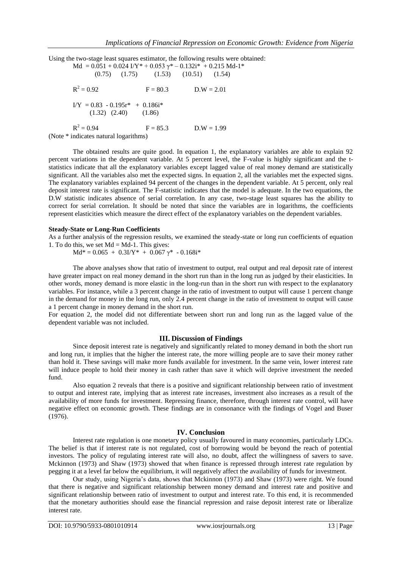Using the two-stage least squares estimator, the following results were obtained:

 $Md = 0.051 + 0.024 \text{ I/Y}^* + 0.053 \text{ V}^* - 0.132 \text{i}^* + 0.215 \text{ Md-1}^*$  (0.75) (1.75) (1.53) (10.51) (1.54)  $R^2$  $F = 80.3$  D.W = 2.01  $I/Y = 0.83 - 0.195r^* + 0.186i^*$  $(1.32)$   $(2.40)$   $(1.86)$  $R^2$  $F = 85.3$  D.W = 1.99 (Note \* indicates natural logarithms)

The obtained results are quite good. In equation 1, the explanatory variables are able to explain 92 percent variations in the dependent variable. At 5 percent level, the F-value is highly significant and the tstatistics indicate that all the explanatory variables except lagged value of real money demand are statistically significant. All the variables also met the expected signs. In equation 2, all the variables met the expected signs. The explanatory variables explained 94 percent of the changes in the dependent variable. At 5 percent, only real deposit interest rate is significant. The F-statistic indicates that the model is adequate. In the two equations, the D.W statistic indicates absence of serial correlation. In any case, two-stage least squares has the ability to correct for serial correlation. It should be noted that since the variables are in logarithms, the coefficients represent elasticities which measure the direct effect of the explanatory variables on the dependent variables.

#### **Steady-State or Long-Run Coefficients**

As a further analysis of the regression results, we examined the steady-state or long run coefficients of equation 1. To do this, we set  $Md = Md-1$ . This gives:

 $Md* = 0.065 + 0.3I/Y* + 0.067 \gamma* - 0.168i*$ 

The above analyses show that ratio of investment to output, real output and real deposit rate of interest have greater impact on real money demand in the short run than in the long run as judged by their elasticities. In other words, money demand is more elastic in the long-run than in the short run with respect to the explanatory variables. For instance, while a 3 percent change in the ratio of investment to output will cause 1 percent change in the demand for money in the long run, only 2.4 percent change in the ratio of investment to output will cause a 1 percent change in money demand in the short run.

For equation 2, the model did not differentiate between short run and long run as the lagged value of the dependent variable was not included.

#### **III. Discussion of Findings**

Since deposit interest rate is negatively and significantly related to money demand in both the short run and long run, it implies that the higher the interest rate, the more willing people are to save their money rather than hold it. These savings will make more funds available for investment. In the same vein, lower interest rate will induce people to hold their money in cash rather than save it which will deprive investment the needed fund.

Also equation 2 reveals that there is a positive and significant relationship between ratio of investment to output and interest rate, implying that as interest rate increases, investment also increases as a result of the availability of more funds for investment. Repressing finance, therefore, through interest rate control, will have negative effect on economic growth. These findings are in consonance with the findings of Vogel and Buser (1976).

# **IV. Conclusion**

Interest rate regulation is one monetary policy usually favoured in many economies, particularly LDCs. The belief is that if interest rate is not regulated, cost of borrowing would be beyond the reach of potential investors. The policy of regulating interest rate will also, no doubt, affect the willingness of savers to save. Mckinnon (1973) and Shaw (1973) showed that when finance is repressed through interest rate regulation by pegging it at a level far below the equilibrium, it will negatively affect the availability of funds for investment.

Our study, using Nigeria's data, shows that Mckinnon (1973) and Shaw (1973) were right. We found that there is negative and significant relationship between money demand and interest rate and positive and significant relationship between ratio of investment to output and interest rate. To this end, it is recommended that the monetary authorities should ease the financial repression and raise deposit interest rate or liberalize interest rate.